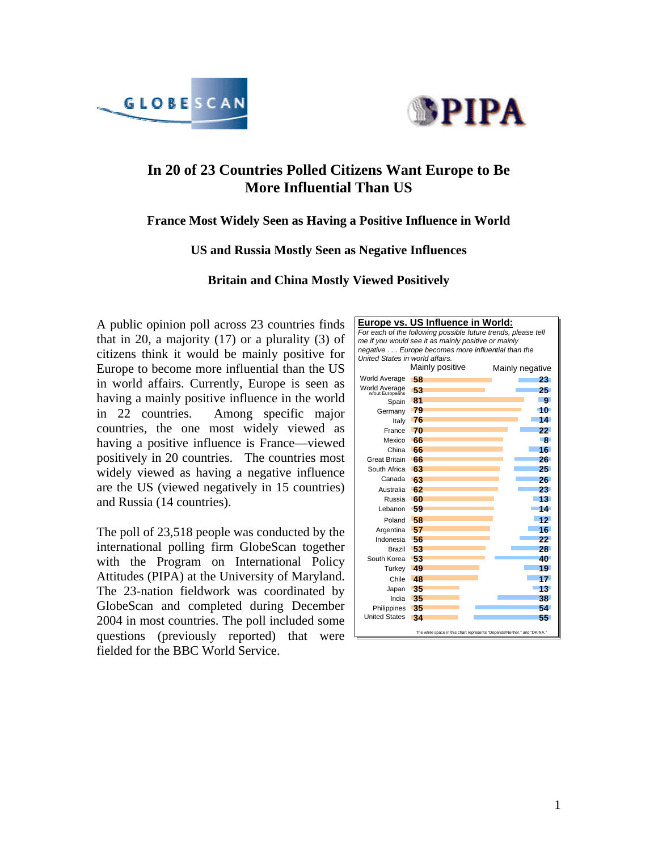



# **In 20 of 23 Countries Polled Citizens Want Europe to Be More Influential Than US**

### **France Most Widely Seen as Having a Positive Influence in World**

#### **US and Russia Mostly Seen as Negative Influences**

**Britain and China Mostly Viewed Positively** 

A public opinion poll across 23 countries finds that in 20, a majority  $(17)$  or a plurality  $(3)$  of citizens think it would be mainly positive for Europe to become more influential than the US in world affairs. Currently, Europe is seen as having a mainly positive influence in the world in 22 countries. Among specific major countries, the one most widely viewed as having a positive influence is France—viewed positively in 20 countries. The countries most widely viewed as having a negative influence are the US (viewed negatively in 15 countries) and Russia (14 countries).

The poll of 23,518 people was conducted by the international polling firm GlobeScan together with the Program on International Policy Attitudes (PIPA) at the University of Maryland. The 23-nation fieldwork was coordinated by GlobeScan and completed during December 2004 in most countries. The poll included some questions (previously reported) that were fielded for the BBC World Service.

|                                                                          | Europe vs. US Influence in World: |                 |  |  |
|--------------------------------------------------------------------------|-----------------------------------|-----------------|--|--|
| For each of the following possible future trends, please tell            |                                   |                 |  |  |
| me if you would see it as mainly positive or mainly                      |                                   |                 |  |  |
| negative Europe becomes more influential than the                        |                                   |                 |  |  |
| United States in world affairs.                                          |                                   |                 |  |  |
|                                                                          | Mainly positive                   | Mainly negative |  |  |
| <b>World Average</b>                                                     | -58                               | 23.             |  |  |
| World Average<br>Wout Europeans                                          | -53                               | 25.             |  |  |
| Spain                                                                    | 81                                | 9.              |  |  |
| Germany                                                                  | -79                               | -10             |  |  |
| Italy                                                                    | 76                                | 14.             |  |  |
| France                                                                   | 70                                | 22              |  |  |
| Mexico                                                                   | 66                                | -8              |  |  |
| China                                                                    | 66                                | 16.             |  |  |
| Great Britain                                                            | 66                                | 26.             |  |  |
| South Africa                                                             | 63                                | 25.             |  |  |
| Canada                                                                   | -63                               | 26.             |  |  |
| Australia                                                                | 62                                | 23.             |  |  |
| Russia                                                                   | 60                                | 13.             |  |  |
| Lebanon                                                                  | -59                               | 14.             |  |  |
| Poland                                                                   | 58                                | 12              |  |  |
| Argentina                                                                | 57                                | 16.             |  |  |
| Indonesia                                                                | 56                                | 22              |  |  |
| Brazil                                                                   | -53                               | 28.             |  |  |
| South Korea                                                              | 53                                | 40.             |  |  |
| Turkev                                                                   | 49                                | 19.             |  |  |
| Chile                                                                    | $\overline{AB}$                   | 17.             |  |  |
| Japan                                                                    | 35                                | 13.             |  |  |
| India                                                                    | 35                                | 38.             |  |  |
| Philippines                                                              | 35                                | 54.             |  |  |
| <b>United States</b>                                                     | 34                                | 55.             |  |  |
| The white space in this chart represents "Depends/Neither," and "DK/NA." |                                   |                 |  |  |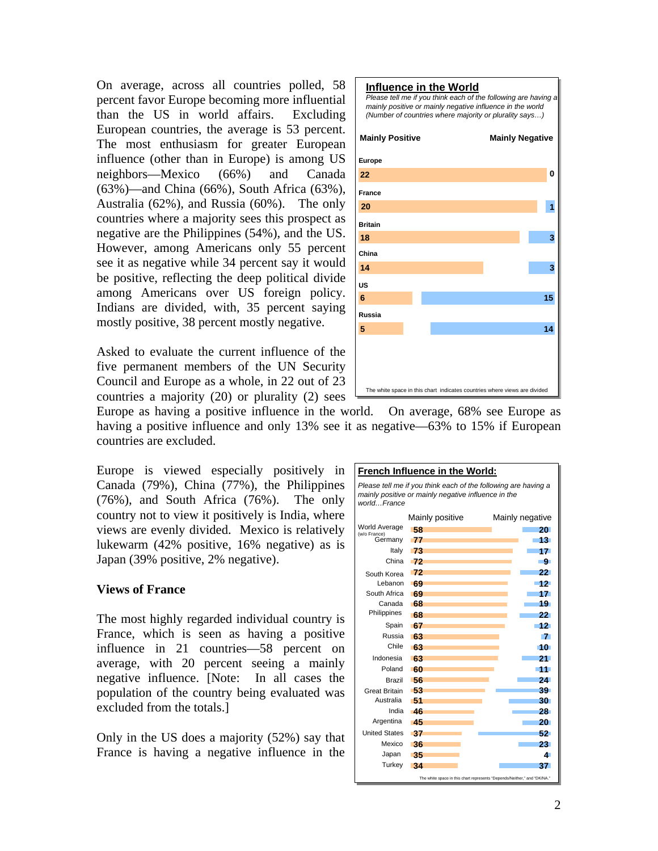On average, across all countries polled, 58 percent favor Europe becoming more influential than the US in world affairs. Excluding European countries, the average is 53 percent. The most enthusiasm for greater European influence (other than in Europe) is among US neighbors—Mexico (66%) and Canada (63%)—and China (66%), South Africa (63%), Australia (62%), and Russia (60%). The only countries where a majority sees this prospect as negative are the Philippines (54%), and the US. However, among Americans only 55 percent see it as negative while 34 percent say it would be positive, reflecting the deep political divide among Americans over US foreign policy. Indians are divided, with, 35 percent saying mostly positive, 38 percent mostly negative.

Asked to evaluate the current influence of the five permanent members of the UN Security Council and Europe as a whole, in 22 out of 23 countries a majority (20) or plurality (2) sees



Europe as having a positive influence in the world. On average, 68% see Europe as having a positive influence and only 13% see it as negative—63% to 15% if European countries are excluded.

Europe is viewed especially positively in Canada (79%), China (77%), the Philippines (76%), and South Africa (76%). The only country not to view it positively is India, where views are evenly divided. Mexico is relatively lukewarm (42% positive, 16% negative) as is Japan (39% positive, 2% negative).

### **Views of France**

The most highly regarded individual country is France, which is seen as having a positive influence in 21 countries—58 percent on average, with 20 percent seeing a mainly negative influence. [Note: In all cases the population of the country being evaluated was excluded from the totals.]

Only in the US does a majority (52%) say that France is having a negative influence in the

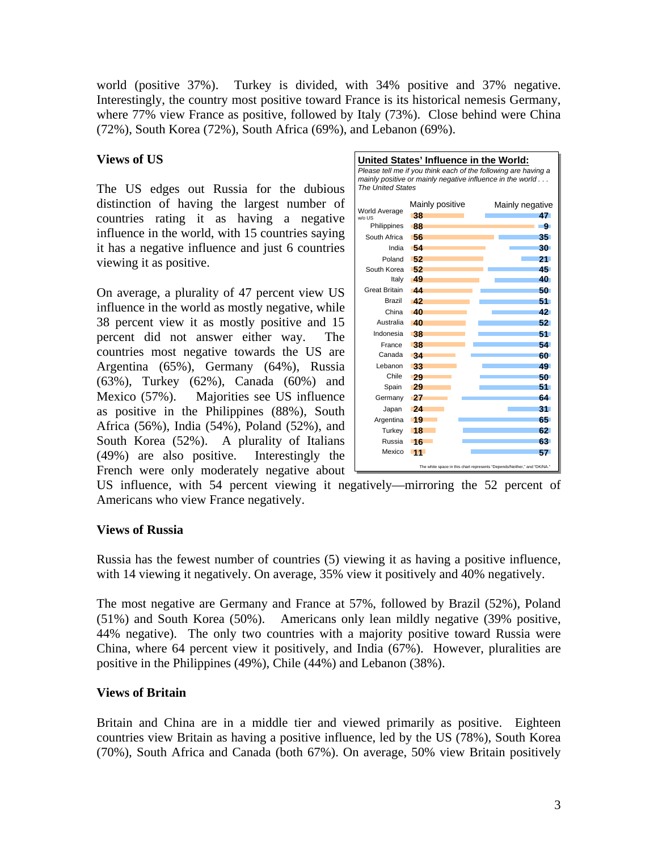world (positive 37%). Turkey is divided, with 34% positive and 37% negative. Interestingly, the country most positive toward France is its historical nemesis Germany, where 77% view France as positive, followed by Italy (73%). Close behind were China (72%), South Korea (72%), South Africa (69%), and Lebanon (69%).

# **Views of US**

The US edges out Russia for the dubious distinction of having the largest number of countries rating it as having a negative influence in the world, with 15 countries saying it has a negative influence and just 6 countries viewing it as positive.

On average, a plurality of 47 percent view US influence in the world as mostly negative, while 38 percent view it as mostly positive and 15 percent did not answer either way. The countries most negative towards the US are Argentina (65%), Germany (64%), Russia (63%), Turkey (62%), Canada (60%) and Mexico (57%). Majorities see US influence as positive in the Philippines (88%), South Africa (56%), India (54%), Poland (52%), and South Korea (52%). A plurality of Italians (49%) are also positive. Interestingly the French were only moderately negative about

| United States' Influence in the World:<br>Please tell me if you think each of the following are having a<br>mainly positive or mainly negative influence in the world<br><b>The United States</b>                                           |                                                                                                                                                                        |                                                                                                                                                             |  |
|---------------------------------------------------------------------------------------------------------------------------------------------------------------------------------------------------------------------------------------------|------------------------------------------------------------------------------------------------------------------------------------------------------------------------|-------------------------------------------------------------------------------------------------------------------------------------------------------------|--|
| <b>World Average</b><br>w/o US<br>Philippines<br>South Africa<br>India<br>Poland<br>South Korea<br>Italy<br>Great Britain<br>Brazil<br>China<br>Australia<br>Indonesia<br>France<br>Canada<br>Lebanon<br>Chile<br>Spain<br>Germany<br>Japan | Mainly positive<br>-38<br>-88<br>-56<br>-54<br>-52<br>-52<br>-49<br>$\overline{44}$<br>-42<br><b>40</b><br>-40<br>-38<br>-38<br>-34<br>-33<br>-29<br>-29<br>-27<br>-24 | Mainly negative<br>47<br>-91<br>35.<br>30.<br>21.<br>45.<br>40.<br>50.<br>51.<br>42<br>$52^{\circ}$<br>51.<br>54.<br>60.<br>49.<br>50.<br>51.<br>64.<br>31. |  |
| Argentina<br>Turkey<br>Russia<br>Mexico                                                                                                                                                                                                     | - 19<br>18<br>-16<br>11                                                                                                                                                | 65.<br>62.<br>63.<br>57.                                                                                                                                    |  |
|                                                                                                                                                                                                                                             |                                                                                                                                                                        | The white space in this chart represents "Depends/Neither." and "DK/NA."                                                                                    |  |

US influence, with 54 percent viewing it negatively—mirroring the 52 percent of Americans who view France negatively.

# **Views of Russia**

Russia has the fewest number of countries (5) viewing it as having a positive influence, with 14 viewing it negatively. On average, 35% view it positively and 40% negatively.

The most negative are Germany and France at 57%, followed by Brazil (52%), Poland (51%) and South Korea (50%). Americans only lean mildly negative (39% positive, 44% negative). The only two countries with a majority positive toward Russia were China, where 64 percent view it positively, and India (67%). However, pluralities are positive in the Philippines (49%), Chile (44%) and Lebanon (38%).

### **Views of Britain**

Britain and China are in a middle tier and viewed primarily as positive. Eighteen countries view Britain as having a positive influence, led by the US (78%), South Korea (70%), South Africa and Canada (both 67%). On average, 50% view Britain positively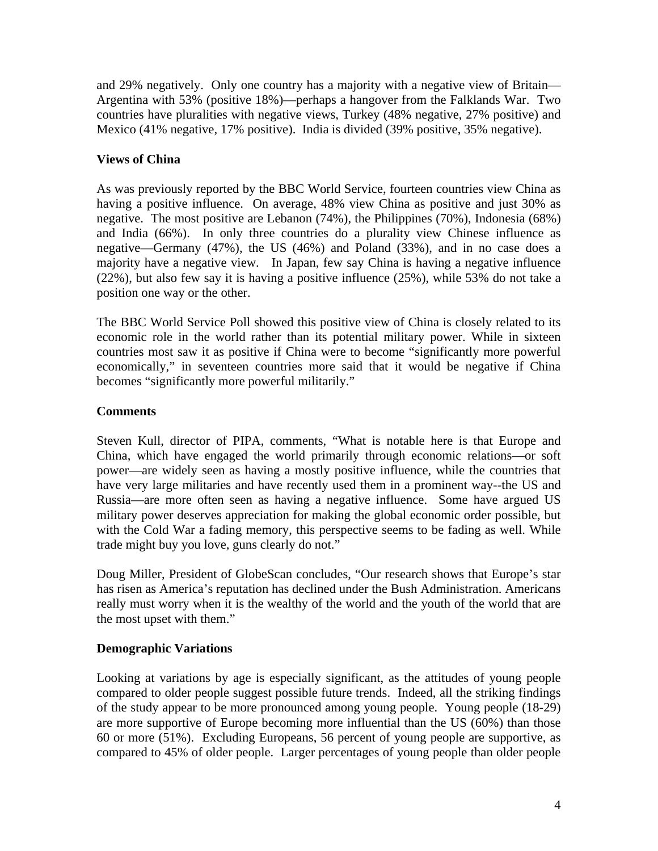and 29% negatively. Only one country has a majority with a negative view of Britain— Argentina with 53% (positive 18%)—perhaps a hangover from the Falklands War. Two countries have pluralities with negative views, Turkey (48% negative, 27% positive) and Mexico (41% negative, 17% positive). India is divided (39% positive, 35% negative).

# **Views of China**

As was previously reported by the BBC World Service, fourteen countries view China as having a positive influence. On average, 48% view China as positive and just 30% as negative. The most positive are Lebanon (74%), the Philippines (70%), Indonesia (68%) and India (66%). In only three countries do a plurality view Chinese influence as negative—Germany (47%), the US (46%) and Poland (33%), and in no case does a majority have a negative view. In Japan, few say China is having a negative influence (22%), but also few say it is having a positive influence (25%), while 53% do not take a position one way or the other.

The BBC World Service Poll showed this positive view of China is closely related to its economic role in the world rather than its potential military power. While in sixteen countries most saw it as positive if China were to become "significantly more powerful economically," in seventeen countries more said that it would be negative if China becomes "significantly more powerful militarily."

# **Comments**

Steven Kull, director of PIPA, comments, "What is notable here is that Europe and China, which have engaged the world primarily through economic relations—or soft power—are widely seen as having a mostly positive influence, while the countries that have very large militaries and have recently used them in a prominent way--the US and Russia—are more often seen as having a negative influence. Some have argued US military power deserves appreciation for making the global economic order possible, but with the Cold War a fading memory, this perspective seems to be fading as well. While trade might buy you love, guns clearly do not."

Doug Miller, President of GlobeScan concludes, "Our research shows that Europe's star has risen as America's reputation has declined under the Bush Administration. Americans really must worry when it is the wealthy of the world and the youth of the world that are the most upset with them."

# **Demographic Variations**

Looking at variations by age is especially significant, as the attitudes of young people compared to older people suggest possible future trends. Indeed, all the striking findings of the study appear to be more pronounced among young people. Young people (18-29) are more supportive of Europe becoming more influential than the US (60%) than those 60 or more (51%). Excluding Europeans, 56 percent of young people are supportive, as compared to 45% of older people. Larger percentages of young people than older people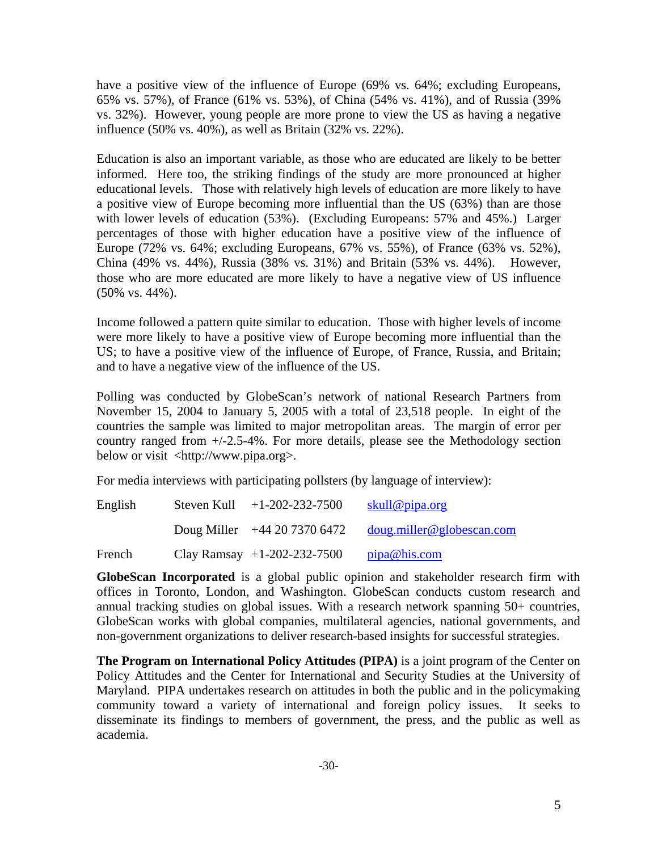have a positive view of the influence of Europe (69% vs. 64%; excluding Europeans, 65% vs. 57%), of France (61% vs. 53%), of China (54% vs. 41%), and of Russia (39% vs. 32%). However, young people are more prone to view the US as having a negative influence (50% vs. 40%), as well as Britain (32% vs. 22%).

Education is also an important variable, as those who are educated are likely to be better informed. Here too, the striking findings of the study are more pronounced at higher educational levels. Those with relatively high levels of education are more likely to have a positive view of Europe becoming more influential than the US (63%) than are those with lower levels of education (53%). (Excluding Europeans: 57% and 45%.) Larger percentages of those with higher education have a positive view of the influence of Europe (72% vs. 64%; excluding Europeans, 67% vs. 55%), of France (63% vs. 52%), China (49% vs. 44%), Russia (38% vs. 31%) and Britain (53% vs. 44%). However, those who are more educated are more likely to have a negative view of US influence (50% vs. 44%).

Income followed a pattern quite similar to education. Those with higher levels of income were more likely to have a positive view of Europe becoming more influential than the US; to have a positive view of the influence of Europe, of France, Russia, and Britain; and to have a negative view of the influence of the US.

Polling was conducted by GlobeScan's network of national Research Partners from November 15, 2004 to January 5, 2005 with a total of 23,518 people. In eight of the countries the sample was limited to major metropolitan areas. The margin of error per country ranged from +/-2.5-4%. For more details, please see the Methodology section below or visit <http://www.pipa.org>.

For media interviews with participating pollsters (by language of interview):

| English | Steven Kull | $+1-202-232-7500$             | skull@pipa.org            |
|---------|-------------|-------------------------------|---------------------------|
|         |             | Doug Miller $+442073706472$   | doug.miller@globescan.com |
| French  |             | Clay Ramsay $+1-202-232-7500$ | pipa@his.com              |

**GlobeScan Incorporated** is a global public opinion and stakeholder research firm with offices in Toronto, London, and Washington. GlobeScan conducts custom research and annual tracking studies on global issues. With a research network spanning 50+ countries, GlobeScan works with global companies, multilateral agencies, national governments, and non-government organizations to deliver research-based insights for successful strategies.

**The Program on International Policy Attitudes (PIPA)** is a joint program of the Center on Policy Attitudes and the Center for International and Security Studies at the University of Maryland. PIPA undertakes research on attitudes in both the public and in the policymaking community toward a variety of international and foreign policy issues. It seeks to disseminate its findings to members of government, the press, and the public as well as academia.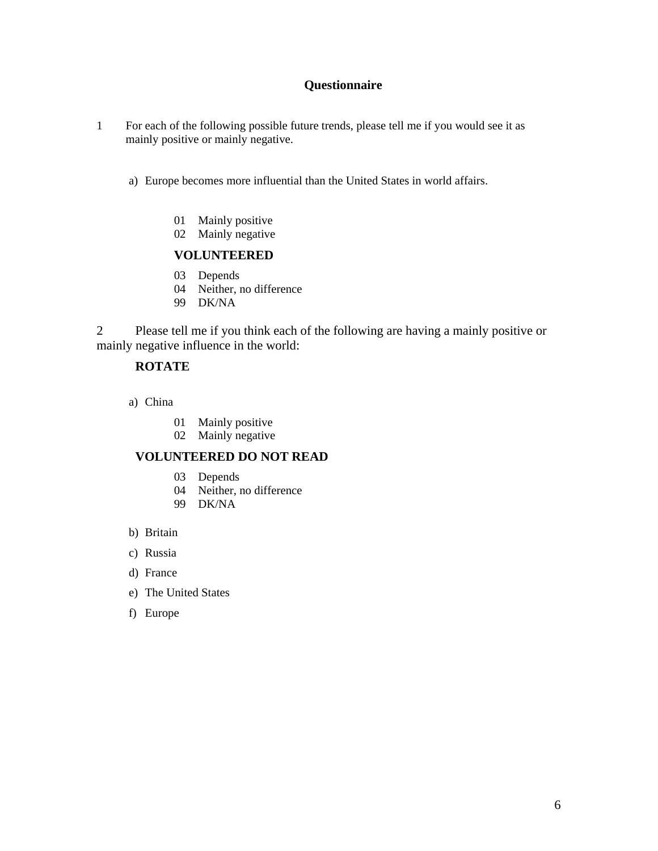## **Questionnaire**

- 1 For each of the following possible future trends, please tell me if you would see it as mainly positive or mainly negative.
	- a) Europe becomes more influential than the United States in world affairs.
		- 01 Mainly positive
		- 02 Mainly negative

#### **VOLUNTEERED**

- 03 Depends
- 04 Neither, no difference
- 99 DK/NA

2 Please tell me if you think each of the following are having a mainly positive or mainly negative influence in the world:

#### **ROTATE**

- a) China
	- 01 Mainly positive
	- 02 Mainly negative

#### **VOLUNTEERED DO NOT READ**

- 03 Depends
- 04 Neither, no difference
- 99 DK/NA
- b) Britain
- c) Russia
- d) France
- e) The United States
- f) Europe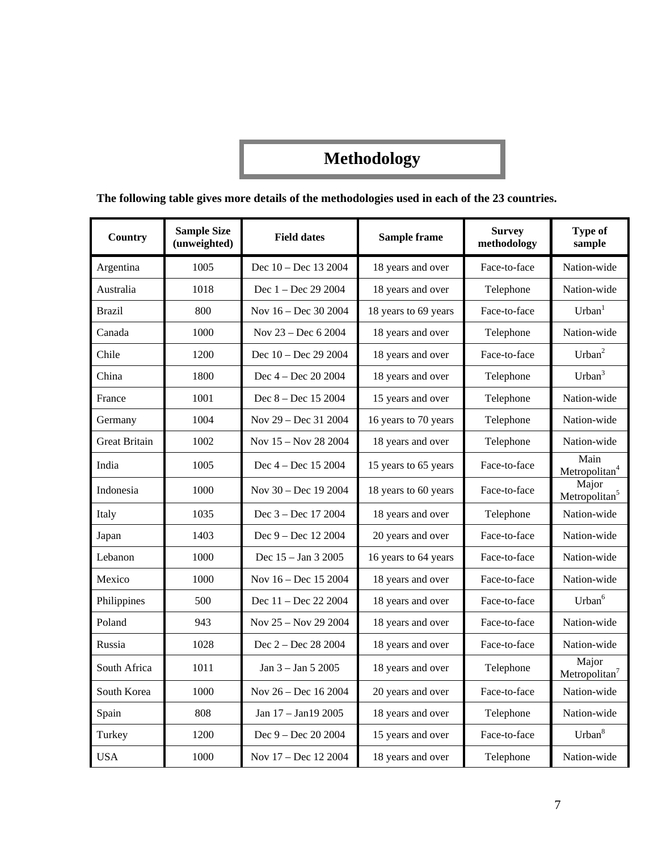# **Methodology**

# **The following table gives more details of the methodologies used in each of the 23 countries.**

| Country              | <b>Sample Size</b><br>(unweighted) | <b>Field dates</b>     | Sample frame         | <b>Survey</b><br>methodology | <b>Type of</b><br>sample           |
|----------------------|------------------------------------|------------------------|----------------------|------------------------------|------------------------------------|
| Argentina            | 1005                               | Dec 10 - Dec 13 2004   | 18 years and over    | Face-to-face                 | Nation-wide                        |
| Australia            | 1018                               | Dec 1 - Dec 29 2004    | 18 years and over    | Telephone                    | Nation-wide                        |
| <b>Brazil</b>        | 800                                | Nov 16 - Dec 30 2004   | 18 years to 69 years | Face-to-face                 | Urban <sup>1</sup>                 |
| Canada               | 1000                               | Nov 23 - Dec 6 2004    | 18 years and over    | Telephone                    | Nation-wide                        |
| Chile                | 1200                               | Dec 10 - Dec 29 2004   | 18 years and over    | Face-to-face                 | $Urban^2$                          |
| China                | 1800                               | Dec 4 - Dec 20 2004    | 18 years and over    | Telephone                    | Urban <sup>3</sup>                 |
| France               | 1001                               | Dec 8 - Dec 15 2004    | 15 years and over    | Telephone                    | Nation-wide                        |
| Germany              | 1004                               | Nov 29 - Dec 31 2004   | 16 years to 70 years | Telephone                    | Nation-wide                        |
| <b>Great Britain</b> | 1002                               | Nov 15 - Nov 28 2004   | 18 years and over    | Telephone                    | Nation-wide                        |
| India                | 1005                               | Dec 4 - Dec 15 2004    | 15 years to 65 years | Face-to-face                 | Main<br>Metropolitan <sup>4</sup>  |
| Indonesia            | 1000                               | Nov $30 - Dec$ 19 2004 | 18 years to 60 years | Face-to-face                 | Major<br>Metropolitan <sup>5</sup> |
| Italy                | 1035                               | Dec 3 - Dec 17 2004    | 18 years and over    | Telephone                    | Nation-wide                        |
| Japan                | 1403                               | Dec $9 - Dec 12 2004$  | 20 years and over    | Face-to-face                 | Nation-wide                        |
| Lebanon              | 1000                               | Dec 15 - Jan 3 2005    | 16 years to 64 years | Face-to-face                 | Nation-wide                        |
| Mexico               | 1000                               | Nov 16 - Dec 15 2004   | 18 years and over    | Face-to-face                 | Nation-wide                        |
| Philippines          | 500                                | Dec 11 - Dec 22 2004   | 18 years and over    | Face-to-face                 | Urban <sup>6</sup>                 |
| Poland               | 943                                | Nov 25 - Nov 29 2004   | 18 years and over    | Face-to-face                 | Nation-wide                        |
| Russia               | 1028                               | Dec 2 - Dec 28 2004    | 18 years and over    | Face-to-face                 | Nation-wide                        |
| South Africa         | 1011                               | Jan 3 - Jan 5 2005     | 18 years and over    | Telephone                    | Major<br>Metropolitan $7$          |
| South Korea          | 1000                               | Nov 26 - Dec 16 2004   | 20 years and over    | Face-to-face                 | Nation-wide                        |
| Spain                | 808                                | Jan 17 - Jan19 2005    | 18 years and over    | Telephone                    | Nation-wide                        |
| Turkey               | 1200                               | Dec 9 - Dec 20 2004    | 15 years and over    | Face-to-face                 | Urban <sup>8</sup>                 |
| <b>USA</b>           | 1000                               | Nov 17 – Dec 12 2004   | 18 years and over    | Telephone                    | Nation-wide                        |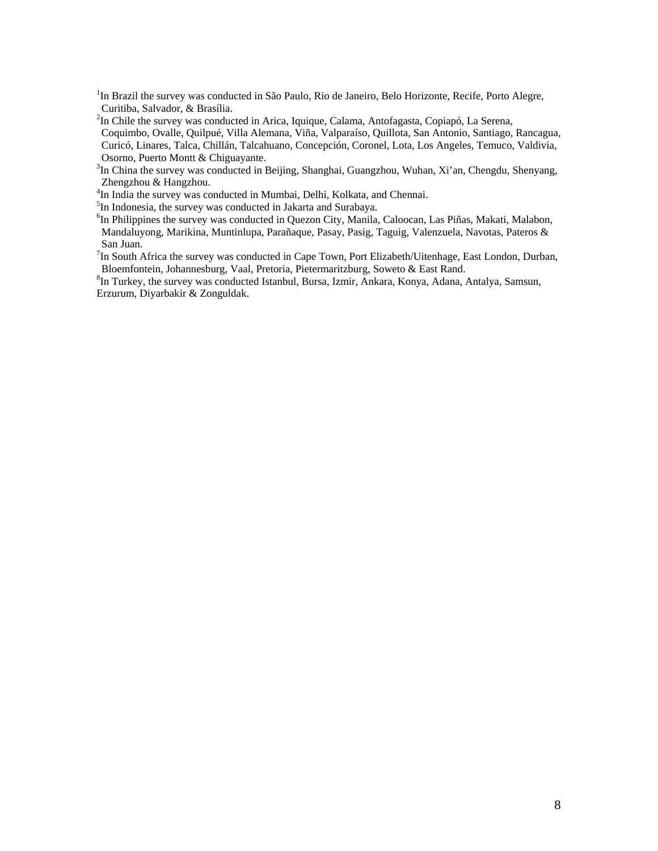<sup>1</sup>In Brazil the survey was conducted in São Paulo, Rio de Janeiro, Belo Horizonte, Recife, Porto Alegre, Curitiba, Salvador, & Brasília. 2

 $2$ In Chile the survey was conducted in Arica, Iquique, Calama, Antofagasta, Copiapó, La Serena,

Coquimbo, Ovalle, Quilpué, Villa Alemana, Viña, Valparaíso, Quillota, San Antonio, Santiago, Rancagua, Curicó, Linares, Talca, Chillán, Talcahuano, Concepción, Coronel, Lota, Los Angeles, Temuco, Valdivia, Osorno, Puerto Montt & Chiguayante. 3

<sup>3</sup>In China the survey was conducted in Beijing, Shanghai, Guangzhou, Wuhan, Xi'an, Chengdu, Shenyang, Zhengzhou & Hangzhou. 4

<sup>4</sup>In India the survey was conducted in Mumbai, Delhi, Kolkata, and Chennai.

 ${}^{5}$ In Indonesia, the survey was conducted in Jakarta and Surabaya.

<sup>6</sup>In Philippines the survey was conducted in Quezon City, Manila, Caloocan, Las Piñas, Makati, Malabon, Mandaluyong, Marikina, Muntinlupa, Parañaque, Pasay, Pasig, Taguig, Valenzuela, Navotas, Pateros & San Juan.

 ${}^{7}$ In South Africa the survey was conducted in Cape Town, Port Elizabeth/Uitenhage, East London, Durban, Bloemfontein, Johannesburg, Vaal, Pretoria, Pietermaritzburg, Soweto & East Rand. 8

<sup>8</sup>In Turkey, the survey was conducted Istanbul, Bursa, Izmir, Ankara, Konya, Adana, Antalya, Samsun, Erzurum, Diyarbakir & Zonguldak.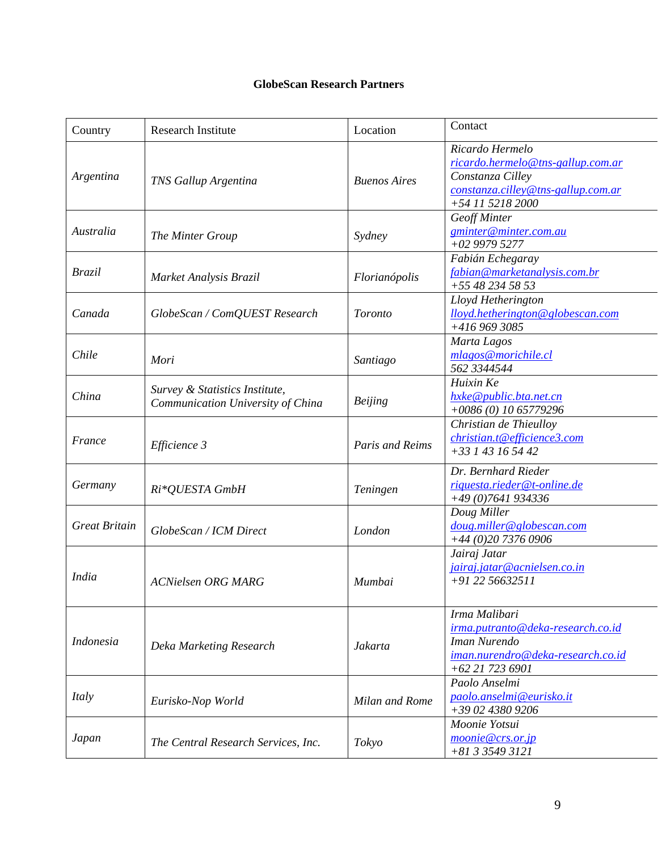# **GlobeScan Research Partners**

| Country              | <b>Research Institute</b>                                           | Location            | Contact                                                                                                                            |
|----------------------|---------------------------------------------------------------------|---------------------|------------------------------------------------------------------------------------------------------------------------------------|
| Argentina            | <b>TNS Gallup Argentina</b>                                         | <b>Buenos Aires</b> | Ricardo Hermelo<br>ricardo.hermelo@tns-gallup.com.ar<br>Constanza Cilley<br>constanza.cilley@tns-gallup.com.ar<br>+54 11 5218 2000 |
| Australia            | The Minter Group                                                    | Sydney              | Geoff Minter<br>gminter@minter.com.au<br>$+02$ 9979 5277                                                                           |
| <b>Brazil</b>        | Market Analysis Brazil                                              | Florianópolis       | Fabián Echegaray<br>fabian@marketanalysis.com.br<br>+55 48 234 58 53                                                               |
| Canada               | GlobeScan / ComQUEST Research                                       | <b>Toronto</b>      | Lloyd Hetherington<br>lloyd.hetherington@globescan.com<br>+416 969 3085                                                            |
| Chile                | Mori                                                                | Santiago            | Marta Lagos<br>mlagos@morichile.cl<br>562 3344544                                                                                  |
| China                | Survey & Statistics Institute,<br>Communication University of China | <b>Beijing</b>      | Huixin Ke<br>hxke@public.bta.net.cn<br>$+0086(0)$ 10 65779296                                                                      |
| France               | Efficience 3                                                        | Paris and Reims     | Christian de Thieulloy<br>christian.t@efficience3.com<br>$+33143165442$                                                            |
| Germany              | Ri*QUESTA GmbH                                                      | Teningen            | Dr. Bernhard Rieder<br>riquesta.rieder@t-online.de<br>$+49(0)7641934336$                                                           |
| <b>Great Britain</b> | GlobeScan / ICM Direct                                              | London              | Doug Miller<br>doug.miller@globescan.com<br>+44 (0)20 7376 0906                                                                    |
| <i>India</i>         | <b>ACNielsen ORG MARG</b>                                           | Mumbai              | Jairaj Jatar<br>jairaj.jatar@acnielsen.co.in<br>$+912256632511$                                                                    |
| <b>Indonesia</b>     | Deka Marketing Research                                             | Jakarta             | Irma Malibari<br>irma.putranto@deka-research.co.id<br>Iman Nurendo<br>iman.nurendro@deka-research.co.id<br>$+62$ 21 723 6901       |
| Italy                | Eurisko-Nop World                                                   | Milan and Rome      | Paolo Anselmi<br>paolo.anselmi@eurisko.it<br>+39 02 4380 9206                                                                      |
| Japan                | The Central Research Services, Inc.                                 | Tokyo               | Moonie Yotsui<br>moonie@crs.or.jp<br>+81 3 3549 3121                                                                               |